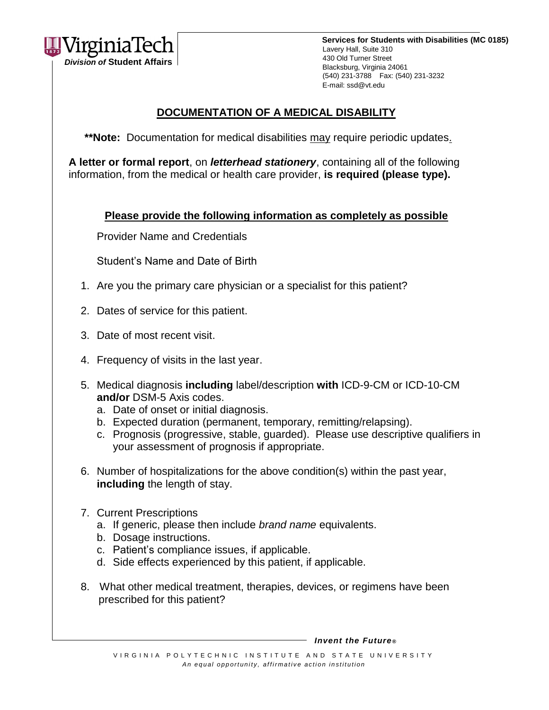

# **DOCUMENTATION OF A MEDICAL DISABILITY**

\*\*Note: Documentation for medical disabilities may require periodic updates.

**A letter or formal report**, on *letterhead stationery*, containing all of the following information, from the medical or health care provider, **is required (please type).**

## **Please provide the following information as completely as possible**

Provider Name and Credentials

Student's Name and Date of Birth

- 1. Are you the primary care physician or a specialist for this patient?
- 2. Dates of service for this patient.
- 3. Date of most recent visit.
- 4. Frequency of visits in the last year.
- 5. Medical diagnosis **including** label/description **with** ICD-9-CM or ICD-10-CM **and/or** DSM-5 Axis codes.
	- a. Date of onset or initial diagnosis.
	- b. Expected duration (permanent, temporary, remitting/relapsing).
	- c. Prognosis (progressive, stable, guarded). Please use descriptive qualifiers in your assessment of prognosis if appropriate.
- 6. Number of hospitalizations for the above condition(s) within the past year, **including** the length of stay.
- 7. Current Prescriptions
	- a. If generic, please then include *brand name* equivalents.
	- b. Dosage instructions.
	- c. Patient's compliance issues, if applicable.
	- d. Side effects experienced by this patient, if applicable.
- 8. What other medical treatment, therapies, devices, or regimens have been prescribed for this patient?

 *Invent the Future ®*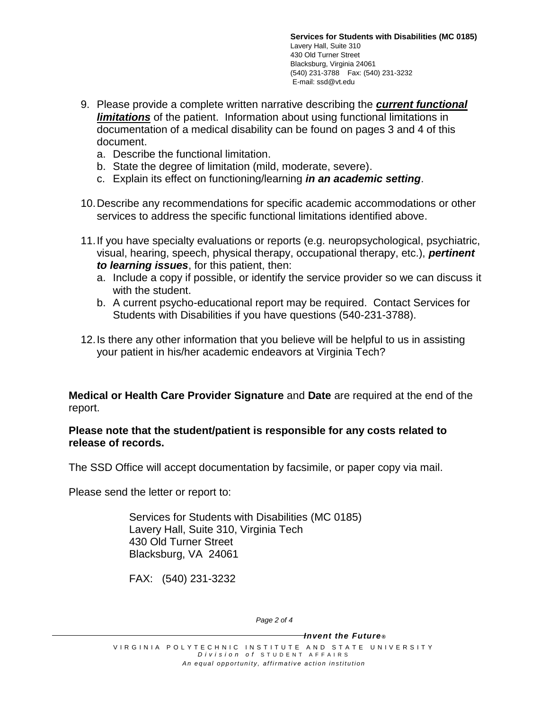- 9. Please provide a complete written narrative describing the *current functional limitations* of the patient. Information about using functional limitations in documentation of a medical disability can be found on pages 3 and 4 of this document.
	- a. Describe the functional limitation.
	- b. State the degree of limitation (mild, moderate, severe).
	- c. Explain its effect on functioning/learning *in an academic setting*.
- 10.Describe any recommendations for specific academic accommodations or other services to address the specific functional limitations identified above.
- 11.If you have specialty evaluations or reports (e.g. neuropsychological, psychiatric, visual, hearing, speech, physical therapy, occupational therapy, etc.), *pertinent to learning issues*, for this patient, then:
	- a. Include a copy if possible, or identify the service provider so we can discuss it with the student.
	- b. A current psycho-educational report may be required. Contact Services for Students with Disabilities if you have questions (540-231-3788).
- 12.Is there any other information that you believe will be helpful to us in assisting your patient in his/her academic endeavors at Virginia Tech?

**Medical or Health Care Provider Signature** and **Date** are required at the end of the report.

#### **Please note that the student/patient is responsible for any costs related to release of records.**

The SSD Office will accept documentation by facsimile, or paper copy via mail.

Please send the letter or report to:

Services for Students with Disabilities (MC 0185) Lavery Hall, Suite 310, Virginia Tech 430 Old Turner Street Blacksburg, VA 24061

FAX: (540) 231-3232

*Page 2 of 4*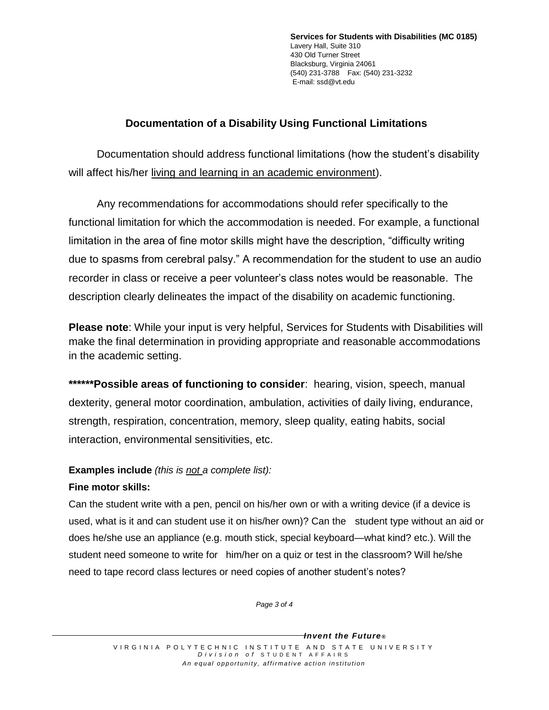# **Documentation of a Disability Using Functional Limitations**

Documentation should address functional limitations (how the student's disability will affect his/her living and learning in an academic environment).

Any recommendations for accommodations should refer specifically to the functional limitation for which the accommodation is needed. For example, a functional limitation in the area of fine motor skills might have the description, "difficulty writing due to spasms from cerebral palsy." A recommendation for the student to use an audio recorder in class or receive a peer volunteer's class notes would be reasonable. The description clearly delineates the impact of the disability on academic functioning.

**Please note**: While your input is very helpful, Services for Students with Disabilities will make the final determination in providing appropriate and reasonable accommodations in the academic setting.

**\*\*\*\*\*\*Possible areas of functioning to consider**: hearing, vision, speech, manual dexterity, general motor coordination, ambulation, activities of daily living, endurance, strength, respiration, concentration, memory, sleep quality, eating habits, social interaction, environmental sensitivities, etc.

## **Examples include** *(this is not a complete list):*

## **Fine motor skills:**

Can the student write with a pen, pencil on his/her own or with a writing device (if a device is used, what is it and can student use it on his/her own)? Can the student type without an aid or does he/she use an appliance (e.g. mouth stick, special keyboard—what kind? etc.). Will the student need someone to write for him/her on a quiz or test in the classroom? Will he/she need to tape record class lectures or need copies of another student's notes?

*Page 3 of 4*

*Invent the Future ®*